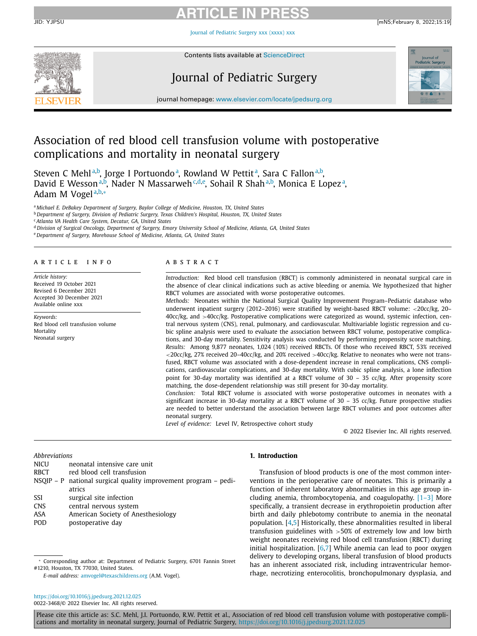Journal of [Pediatric](https://doi.org/10.1016/j.jpedsurg.2021.12.025) Surgery xxx (xxxx) xxx



Contents lists available at [ScienceDirect](http://www.ScienceDirect.com)

# Journal of Pediatric Surgery



journal homepage: [www.elsevier.com/locate/jpedsurg.org](http://www.elsevier.com/locate/jpedsurg)

# Association of red blood cell transfusion volume with postoperative complications and mortality in neonatal surgery

Steven C Mehl<sup>a,b</sup>, Jorge I Portuondo<sup>a</sup>, Rowland W Pettit<sup>a</sup>, Sara C Fallon<sup>a,b</sup>, David E Wesson<sup>a,b</sup>, Nader N Massarweh<sup>c,d,e</sup>, Sohail R Shah<sup>a,b</sup>, Monica E Lopez<sup>a</sup>, Adam M Vogel<sup>a,b,∗</sup>

<sup>a</sup> *Michael E. DeBakey Department of Surgery, Baylor College of Medicine, Houston, TX, United States*

<sup>b</sup> *Department of Surgery, Division of Pediatric Surgery, Texas Children's Hospital, Houston, TX, United States*

<sup>c</sup> *Atlanta VA Health Care System, Decatur, GA, United States*

<sup>d</sup> Division of Surgical Oncology, Department of Surgery, Emory University School of Medicine, Atlanta, GA, United States

<sup>e</sup> *Department of Surgery, Morehouse School of Medicine, Atlanta, GA, United States*

#### a r t i c l e i n f o

*Article history:* Received 19 October 2021 Revised 6 December 2021 Accepted 30 December 2021 Available online xxx

*Keywords:* Red blood cell transfusion volume Mortality Neonatal surgery

#### A B S T R A C T

*Introduction:* Red blood cell transfusion (RBCT) is commonly administered in neonatal surgical care in the absence of clear clinical indications such as active bleeding or anemia. We hypothesized that higher RBCT volumes are associated with worse postoperative outcomes.

*Methods:* Neonates within the National Surgical Quality Improvement Program–Pediatric database who underwent inpatient surgery (2012–2016) were stratified by weight-based RBCT volume: <20cc/kg, 20– 40cc/kg, and >40cc/kg. Postoperative complications were categorized as wound, systemic infection, central nervous system (CNS), renal, pulmonary, and cardiovascular. Multivariable logistic regression and cubic spline analysis were used to evaluate the association between RBCT volume, postoperative complications, and 30-day mortality. Sensitivity analysis was conducted by performing propensity score matching. *Results:* Among 9,877 neonates, 1,024 (10%) received RBCTs. Of those who received RBCT, 53% received <20cc/kg, 27% received 20–40cc/kg, and 20% received >40cc/kg. Relative to neonates who were not transfused, RBCT volume was associated with a dose-dependent increase in renal complications, CNS complications, cardiovascular complications, and 30-day mortality. With cubic spline analysis, a lone inflection point for 30-day mortality was identified at a RBCT volume of 30 – 35 cc/kg. After propensity score matching, the dose-dependent relationship was still present for 30-day mortality.

*Conclusion:* Total RBCT volume is associated with worse postoperative outcomes in neonates with a significant increase in 30-day mortality at a RBCT volume of 30 – 35 cc/kg. Future prospective studies are needed to better understand the association between large RBCT volumes and poor outcomes after neonatal surgery.

*Level of evidence:* Level IV, Retrospective cohort study

© 2022 Elsevier Inc. All rights reserved.

#### *Abbreviations*

- NICU neonatal intensive care unit
- RBCT red blood cell transfusion
- NSQIP P national surgical quality improvement program pediatrics SSI surgical site infection
- 
- CNS central nervous system
- ASA American Society of Anesthesiology
- POD postoperative day

#### **1. Introduction**

Transfusion of blood products is one of the most common interventions in the perioperative care of neonates. This is primarily a function of inherent laboratory abnormalities in this age group including anemia, thrombocytopenia, and coagulopathy.  $[1-3]$  More specifically, a transient decrease in erythropoietin production after birth and daily phlebotomy contribute to anemia in the neonatal population. [\[4,5\]](#page-7-0) Historically, these abnormalities resulted in liberal transfusion guidelines with >50% of extremely low and low birth weight neonates receiving red blood cell transfusion (RBCT) during initial hospitalization.  $[6,7]$  While anemia can lead to poor oxygen delivery to developing organs, liberal transfusion of blood products has an inherent associated risk, including intraventricular hemorrhage, necrotizing enterocolitis, bronchopulmonary dysplasia, and

<sup>∗</sup> Corresponding author at: Department of Pediatric Surgery, 6701 Fannin Street #1210, Houston, TX 77030, United States.

*E-mail address:* [amvogel@texaschildrens.org](mailto:amvogel@texaschildrens.org) (A.M. Vogel).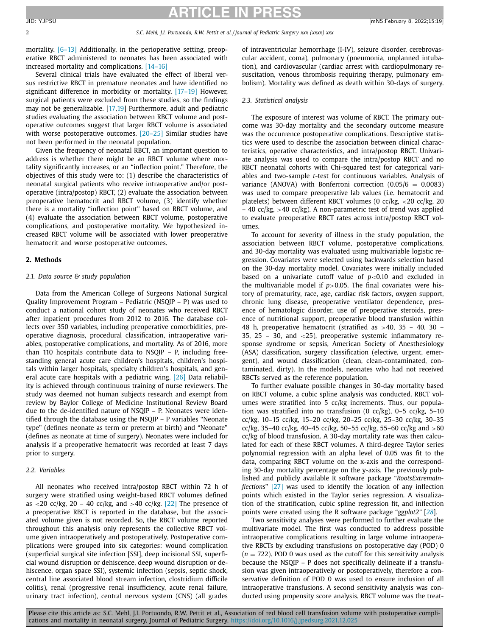2 *S.C. Mehl, J.I. Portuondo, R.W. Pettit et al. / Journal of Pediatric Surgery xxx (xxxx) xxx*

mortality. [\[6–13\]](#page-7-0) Additionally, in the perioperative setting, preoperative RBCT administered to neonates has been associated with

increased mortality and complications. [\[14–16\]](#page-7-0) Several clinical trials have evaluated the effect of liberal versus restrictive RBCT in premature neonates and have identified no significant difference in morbidity or mortality. [\[17–19\]](#page-8-0) However, surgical patients were excluded from these studies, so the findings may not be generalizable. [\[17,19\]](#page-8-0) Furthermore, adult and pediatric studies evaluating the association between RBCT volume and postoperative outcomes suggest that larger RBCT volume is associated with worse postoperative outcomes. [\[20–25\]](#page-8-0) Similar studies have not been performed in the neonatal population.

Given the frequency of neonatal RBCT, an important question to address is whether there might be an RBCT volume where mortality significantly increases, or an "inflection point." Therefore, the objectives of this study were to: (1) describe the characteristics of neonatal surgical patients who receive intraoperative and/or postoperative (intra/postop) RBCT, (2) evaluate the association between preoperative hematocrit and RBCT volume, (3) identify whether there is a mortality "inflection point" based on RBCT volume, and (4) evaluate the association between RBCT volume, postoperative complications, and postoperative mortality. We hypothesized increased RBCT volume will be associated with lower preoperative hematocrit and worse postoperative outcomes.

#### **2. Methods**

#### *2.1. Data source & study population*

Data from the American College of Surgeons National Surgical Quality Improvement Program – Pediatric (NSQIP – P) was used to conduct a national cohort study of neonates who received RBCT after inpatient procedures from 2012 to 2016. The database collects over 350 variables, including preoperative comorbidities, preoperative diagnosis, procedural classification, intraoperative variables, postoperative complications, and mortality. As of 2016, more than 110 hospitals contribute data to NSQIP – P, including freestanding general acute care children's hospitals, children's hospitals within larger hospitals, specialty children's hospitals, and general acute care hospitals with a pediatric wing. [\[26\]](#page-8-0) Data reliability is achieved through continuous training of nurse reviewers. The study was deemed not human subjects research and exempt from review by Baylor College of Medicine Institutional Review Board due to the de-identified nature of NSQIP – P. Neonates were identified through the database using the NSQIP – P variables "Neonate type" (defines neonate as term or preterm at birth) and "Neonate" (defines as neonate at time of surgery). Neonates were included for analysis if a preoperative hematocrit was recorded at least 7 days prior to surgery.

#### *2.2. Variables*

All neonates who received intra/postop RBCT within 72 h of surgery were stratified using weight-based RBCT volumes defined as  $\langle 20 \text{ cc/kg}, 20 - 40 \text{ cc/kg}, \text{ and } \rangle$  40 cc/kg. [\[22\]](#page-8-0) The presence of a preoperative RBCT is reported in the database, but the associated volume given is not recorded. So, the RBCT volume reported throughout this analysis only represents the collective RBCT volume given intraoperatively and postoperatively. Postoperative complications were grouped into six categories: wound complication (superficial surgical site infection [SSI], deep incisional SSI, superficial wound disruption or dehiscence, deep wound disruption or dehiscence, organ space SSI), systemic infection (sepsis, septic shock, central line associated blood stream infection, clostridium difficile colitis), renal (progressive renal insufficiency, acute renal failure, urinary tract infection), central nervous system (CNS) (all grades of intraventricular hemorrhage (I-IV), seizure disorder, cerebrovascular accident, coma), pulmonary (pneumonia, unplanned intubation), and cardiovascular (cardiac arrest with cardiopulmonary resuscitation, venous thrombosis requiring therapy, pulmonary embolism). Mortality was defined as death within 30-days of surgery.

#### *2.3. Statistical analysis*

The exposure of interest was volume of RBCT. The primary outcome was 30-day mortality and the secondary outcome measure was the occurrence postoperative complications. Descriptive statistics were used to describe the association between clinical characteristics, operative characteristics, and intra/postop RBCT. Univariate analysis was used to compare the intra/postop RBCT and no RBCT neonatal cohorts with Chi-squared test for categorical variables and two-sample *t*-test for continuous variables. Analysis of variance (ANOVA) with Bonferroni correction  $(0.05/6 = 0.0083)$ was used to compare preoperative lab values (i.e. hematocrit and platelets) between different RBCT volumes (0 cc/kg, <20 cc/kg, 20  $-$  40 cc/kg,  $>$ 40 cc/kg). A non-parametric test of trend was applied to evaluate preoperative RBCT rates across intra/postop RBCT volumes.

To account for severity of illness in the study population, the association between RBCT volume, postoperative complications, and 30-day mortality was evaluated using multivariable logistic regression. Covariates were selected using backwards selection based on the 30-day mortality model. Covariates were initially included based on a univariate cutoff value of *p*<0.10 and excluded in the multivariable model if  $p > 0.05$ . The final covariates were history of prematurity, race, age, cardiac risk factors, oxygen support, chronic lung disease, preoperative ventilator dependence, presence of hematologic disorder, use of preoperative steroids, presence of nutritional support, preoperative blood transfusion within 48 h, preoperative hematocrit (stratified as >40, 35 – 40, 30 – 35, 25 – 30, and <25), preoperative systemic inflammatory response syndrome or sepsis, American Society of Anesthesiology (ASA) classification, surgery classification (elective, urgent, emergent), and wound classification (clean, clean-contaminated, contaminated, dirty). In the models, neonates who had not received RBCTs served as the reference population.

To further evaluate possible changes in 30-day mortality based on RBCT volume, a cubic spline analysis was conducted. RBCT volumes were stratified into 5 cc/kg increments. Thus, our population was stratified into no transfusion (0  $cc/kg$ ), 0-5  $cc/kg$ , 5-10 cc/kg, 10–15 cc/kg, 15–20 cc/kg, 20–25 cc/kg, 25–30 cc/kg, 30–35 cc/kg, 35–40 cc/kg, 40–45 cc/kg, 50–55 cc/kg, 55–60 cc/kg and  $>60$ cc/kg of blood transfusion. A 30-day mortality rate was then calculated for each of these RBCT volumes. A third-degree Taylor series polynomial regression with an alpha level of 0.05 was fit to the data, comparing RBCT volume on the x-axis and the corresponding 30-day mortality percentage on the y-axis. The previously published and publicly available R software package "*RootsExtremaInflections*" [\[27\]](#page-8-0) was used to identify the location of any inflection points which existed in the Taylor series regression. A visualization of the stratification, cubic spline regression fit, and inflection points were created using the R software package "*ggplot2"* [*[28](#page-8-0)*]*.*

Two sensitivity analyses were performed to further evaluate the multivariate model. The first was conducted to address possible intraoperative complications resulting in large volume intraoperative RBCTs by excluding transfusions on postoperative day (POD) 0  $(n = 722)$ . POD 0 was used as the cutoff for this sensitivity analysis because the NSQIP – P does not specifically delineate if a transfusion was given intraoperatively or postoperatively, therefore a conservative definition of POD 0 was used to ensure inclusion of all intraoperative transfusions. A second sensitivity analysis was conducted using propensity score analysis. RBCT volume was the treat-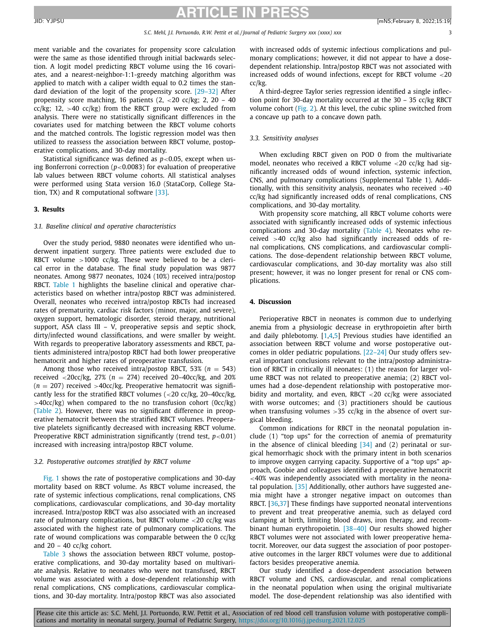ment variable and the covariates for propensity score calculation were the same as those identified through initial backwards selection. A logit model predicting RBCT volume using the 16 covariates, and a nearest-neighbor-1:1-greedy matching algorithm was applied to match with a caliper width equal to 0.2 times the standard deviation of the logit of the propensity score. [\[29–32\]](#page-8-0) After propensity score matching, 16 patients  $(2, < 20$  cc/kg; 2, 20 - 40 cc/kg; 12,  $>40$  cc/kg) from the RBCT group were excluded from analysis. There were no statistically significant differences in the covariates used for matching between the RBCT volume cohorts and the matched controls. The logistic regression model was then utilized to reassess the association between RBCT volume, postoperative complications, and 30-day mortality.

Statistical significance was defined as  $p<0.05$ , except when using Bonferroni correction (*p*<0.0083) for evaluation of preoperative lab values between RBCT volume cohorts. All statistical analyses were performed using Stata version 16.0 (StataCorp, College Station, TX) and R computational software [\[33\].](#page-8-0)

#### **3. Results**

#### *3.1. Baseline clinical and operative characteristics*

Over the study period, 9880 neonates were identified who underwent inpatient surgery. Three patients were excluded due to RBCT volume  $>1000$  cc/kg. These were believed to be a clerical error in the database. The final study population was 9877 neonates. Among 9877 neonates, 1024 (10%) received intra/postop RBCT. [Table](#page-3-0) 1 highlights the baseline clinical and operative characteristics based on whether intra/postop RBCT was administered. Overall, neonates who received intra/postop RBCTs had increased rates of prematurity, cardiac risk factors (minor, major, and severe), oxygen support, hematologic disorder, steroid therapy, nutritional support, ASA class III – V, preoperative sepsis and septic shock, dirty/infected wound classifications, and were smaller by weight. With regards to preoperative laboratory assessments and RBCT, patients administered intra/postop RBCT had both lower preoperative hematocrit and higher rates of preoperative transfusion.

Among those who received intra/postop RBCT, 53% ( $n = 543$ ) received  $\langle$ 20cc/kg, 27% ( $n = 274$ ) received 20-40cc/kg, and 20%  $(n = 207)$  received >40cc/kg. Preoperative hematocrit was significantly less for the stratified RBCT volumes  $\left($  <20 cc/kg, 20-40cc/kg,  $>40cc/kg$ ) when compared to the no transfusion cohort (0cc/kg) [\(Table](#page-3-0) 2). However, there was no significant difference in preoperative hematocrit between the stratified RBCT volumes. Preoperative platelets significantly decreased with increasing RBCT volume. Preoperative RBCT administration significantly (trend test, *p*<0.01) increased with increasing intra/postop RBCT volume.

#### *3.2. Postoperative outcomes stratified by RBCT volume*

[Fig.](#page-4-0) 1 shows the rate of postoperative complications and 30-day mortality based on RBCT volume. As RBCT volume increased, the rate of systemic infectious complications, renal complications, CNS complications, cardiovascular complications, and 30-day mortality increased. Intra/postop RBCT was also associated with an increased rate of pulmonary complications, but RBCT volume <20 cc/kg was associated with the highest rate of pulmonary complications. The rate of wound complications was comparable between the 0 cc/kg and 20 – 40 cc/kg cohort.

[Table](#page-6-0) 3 shows the association between RBCT volume, postoperative complications, and 30-day mortality based on multivariate analysis. Relative to neonates who were not transfused, RBCT volume was associated with a dose-dependent relationship with renal complications, CNS complications, cardiovascular complications, and 30-day mortality. Intra/postop RBCT was also associated with increased odds of systemic infectious complications and pulmonary complications; however, it did not appear to have a dosedependent relationship. Intra/postop RBCT was not associated with increased odds of wound infections, except for RBCT volume <20 cc/kg.

A third-degree Taylor series regression identified a single inflection point for 30-day mortality occurred at the 30 – 35 cc/kg RBCT volume cohort [\(Fig.](#page-5-0) 2). At this level, the cubic spline switched from a concave up path to a concave down path.

#### *3.3. Sensitivity analyses*

When excluding RBCT given on POD 0 from the multivariate model, neonates who received a RBCT volume <20 cc/kg had significantly increased odds of wound infection, systemic infection, CNS, and pulmonary complications (Supplemental Table 1). Additionally, with this sensitivity analysis, neonates who received  $>40$ cc/kg had significantly increased odds of renal complications, CNS complications, and 30-day mortality.

With propensity score matching, all RBCT volume cohorts were associated with significantly increased odds of systemic infectious complications and 30-day mortality [\(Table](#page-6-0) 4). Neonates who received >40 cc/kg also had significantly increased odds of renal complications, CNS complications, and cardiovascular complications. The dose-dependent relationship between RBCT volume, cardiovascular complications, and 30-day mortality was also still present; however, it was no longer present for renal or CNS complications.

#### **4. Discussion**

Perioperative RBCT in neonates is common due to underlying anemia from a physiologic decrease in erythropoietin after birth and daily phlebotomy. [\[1,4,5\]](#page-7-0) Previous studies have identified an association between RBCT volume and worse postoperative outcomes in older pediatric populations. [\[22–24\]](#page-8-0) Our study offers several important conclusions relevant to the intra/postop administration of RBCT in critically ill neonates: (1) the reason for larger volume RBCT was not related to preoperative anemia; (2) RBCT volumes had a dose-dependent relationship with postoperative morbidity and mortality, and even, RBCT  $\langle 20 \rangle$  cc/kg were associated with worse outcomes; and (3) practitioners should be cautious when transfusing volumes  $>35$  cc/kg in the absence of overt surgical bleeding.

Common indications for RBCT in the neonatal population include (1) "top ups" for the correction of anemia of prematurity in the absence of clinical bleeding  $[34]$  and (2) perinatal or surgical hemorrhagic shock with the primary intent in both scenarios to improve oxygen carrying capacity. Supportive of a "top ups" approach, Goobie and colleagues identified a preoperative hematocrit  $\langle 40\%$  was independently associated with mortality in the neonatal population. [\[35\]](#page-8-0) Additionally, other authors have suggested anemia might have a stronger negative impact on outcomes than RBCT. [\[36,37\]](#page-8-0) These findings have supported neonatal interventions to prevent and treat preoperative anemia, such as delayed cord clamping at birth, limiting blood draws, iron therapy, and recombinant human erythropoietin. [38-40] Our results showed higher RBCT volumes were not associated with lower preoperative hematocrit. Moreover, our data suggest the association of poor postoperative outcomes in the larger RBCT volumes were due to additional factors besides preoperative anemia.

Our study identified a dose-dependent association between RBCT volume and CNS, cardiovascular, and renal complications in the neonatal population when using the original multivariate model. The dose-dependent relationship was also identified with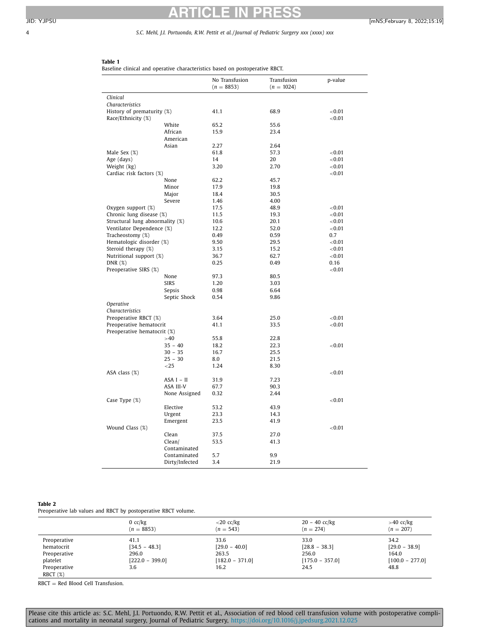#### <span id="page-3-0"></span>4 *S.C. Mehl, J.I. Portuondo, R.W. Pettit et al. / Journal of Pediatric Surgery xxx (xxxx) xxx*

### **Table 1**

Baseline clinical and operative characteristics based on postoperative RBCT.

| No Transfusion<br>Transfusion<br>p-value<br>$(n = 8853)$<br>$(n = 1024)$<br>Clinical |  |
|--------------------------------------------------------------------------------------|--|
|                                                                                      |  |
|                                                                                      |  |
| Characteristics                                                                      |  |
| History of prematurity (%)<br>41.1<br>68.9<br>< 0.01                                 |  |
| ${<}0.01$<br>Race/Ethnicity (%)                                                      |  |
| White<br>55.6<br>65.2                                                                |  |
| African<br>15.9<br>23.4                                                              |  |
| American                                                                             |  |
| Asian<br>2.27<br>2.64                                                                |  |
| Male Sex (%)<br>57.3<br>< 0.01<br>61.8                                               |  |
| Age (days)<br>14<br>20<br>${<}0.01$                                                  |  |
| 2.70<br>Weight (kg)<br>3.20<br>${<}0.01$                                             |  |
| Cardiac risk factors (%)<br>< 0.01                                                   |  |
| None<br>62.2<br>45.7                                                                 |  |
|                                                                                      |  |
| Minor<br>17.9<br>19.8                                                                |  |
| 30.5<br>Major<br>18.4                                                                |  |
| 4.00<br>Severe<br>1.46                                                               |  |
| Oxygen support $(\%)$<br>17.5<br>48.9<br>< 0.01                                      |  |
| Chronic lung disease (%)<br>11.5<br>19.3<br>${<}0.01$                                |  |
| Structural lung abnormality (%)<br>20.1<br>< 0.01<br>10.6                            |  |
| Ventilator Dependence (%)<br>12.2<br>52.0<br>< 0.01                                  |  |
| Tracheostomy (%)<br>0.49<br>0.59<br>0.7                                              |  |
| Hematologic disorder (%)<br>29.5<br>< 0.01<br>9.50                                   |  |
| Steroid therapy (%)<br>15.2<br>${<}0.01$<br>3.15                                     |  |
| Nutritional support (%)<br>36.7<br>62.7<br>< 0.01                                    |  |
| 0.49<br>DNR $(\%)$<br>0.25<br>0.16                                                   |  |
| Preoperative SIRS (%)<br>${<}0.01$                                                   |  |
| 80.5<br>None<br>97.3                                                                 |  |
| <b>SIRS</b><br>3.03<br>1.20                                                          |  |
| 6.64<br>Sepsis<br>0.98                                                               |  |
| Septic Shock<br>0.54<br>9.86                                                         |  |
| Operative                                                                            |  |
| Characteristics                                                                      |  |
| Preoperative RBCT (%)<br>25.0<br>< 0.01<br>3.64                                      |  |
| Preoperative hematocrit<br>41.1<br>33.5<br>${<}0.01$                                 |  |
| Preoperative hematocrit (%)                                                          |  |
| 22.8<br>>40<br>55.8                                                                  |  |
| $35 - 40$<br>22.3<br>< 0.01<br>18.2                                                  |  |
| $30 - 35$<br>16.7<br>25.5                                                            |  |
| $25 - 30$<br>8.0<br>21.5                                                             |  |
| $<$ 25<br>1.24<br>8.30                                                               |  |
| ${<}0.01$<br>ASA class (%)                                                           |  |
| ASA I - II<br>31.9<br>7.23                                                           |  |
| ASA III-V<br>90.3<br>67.7                                                            |  |
| None Assigned<br>2.44<br>0.32                                                        |  |
| ${<}0.01$                                                                            |  |
| Case Type (%)                                                                        |  |
| 53.2<br>43.9<br>Elective                                                             |  |
| Urgent<br>23.3<br>14.3                                                               |  |
| 23.5<br>41.9<br>Emergent                                                             |  |
| < 0.01<br>Wound Class (%)                                                            |  |
| Clean<br>27.0<br>37.5                                                                |  |
| Clean/<br>53.5<br>41.3                                                               |  |
| Contaminated                                                                         |  |
| 9.9<br>Contaminated<br>5.7                                                           |  |
| Dirty/Infected<br>3.4<br>21.9                                                        |  |

#### **Table 2**

Preoperative lab values and RBCT by postoperative RBCT volume.

|                             | $0$ cc/kg<br>$(n = 8853)$ | $<$ 20 cc/kg<br>$(n = 543)$ | $20 - 40$ cc/kg<br>$(n = 274)$ | $>40$ cc/kg<br>$(n = 207)$ |
|-----------------------------|---------------------------|-----------------------------|--------------------------------|----------------------------|
| Preoperative                | 41.1                      | 33.6                        | 33.0                           | 34.2                       |
| hematocrit                  | $[34.5 - 48.3]$           | $[29.0 - 40.0]$             | $[28.8 - 38.3]$                | $[29.0 - 38.9]$            |
| Preoperative                | 296.0                     | 263.5                       | 256.0                          | 164.0                      |
| platelet                    | $[222.0 - 399.0]$         | $[182.0 - 371.0]$           | $[175.0 - 357.0]$              | $[100.0 - 277.0]$          |
| Preoperative<br>RBCT $(\%)$ | 3.6                       | 16.2                        | 24.5                           | 48.8                       |

RBCT = Red Blood Cell Transfusion.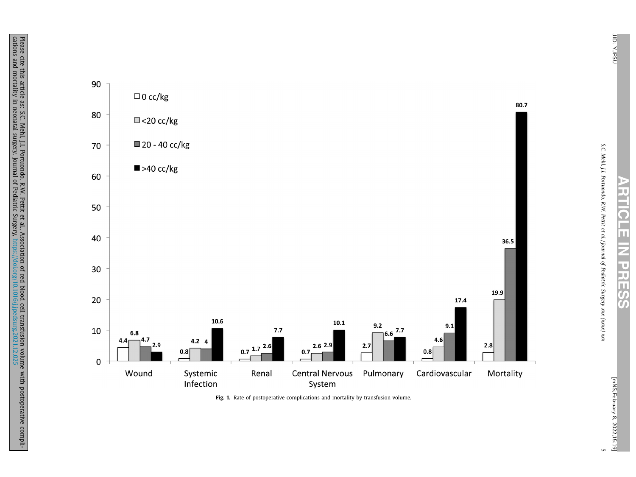*S.C. Mehl, J.I.*

*Portuondo,*

*R.W.*

*Pettit et al. / Journal of Pediatric*

*Surgery xxx (xxxx) xxx*

# **ARTICLE IZ PRESS**

5

<span id="page-4-0"></span>

2022;15:19] **Fig. 1.** Rate of postoperative complications and mortality by transfusion volume.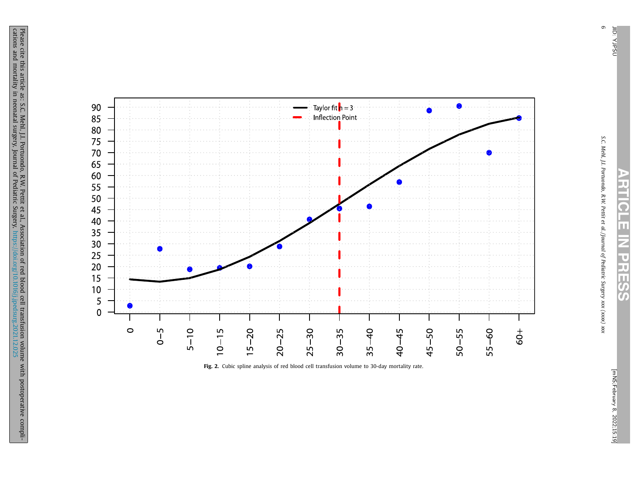<span id="page-5-0"></span>90







6

*S.C. Mehl, J.I.*

*Portuondo,*

*R.W.*

**ARTICLE**

**Z** 

**PRESS**

*Pettit et al. / Journal of Pediatric*

*Surgery xxx (xxxx) xxx*

> [mNS;February [mNS;February 8, 2022;15:19]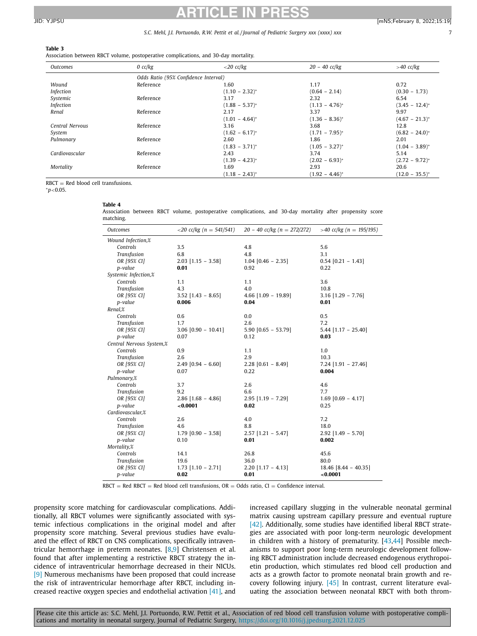#### <span id="page-6-0"></span>**Table 3**

Association between RBCT volume, postoperative complications, and 30-day mortality.

| <b>Outcomes</b> | $0$ cc/kg                            | $<$ 20 cc/kg        | $20 - 40$ cc/kg     | $>40$ cc/kg         |
|-----------------|--------------------------------------|---------------------|---------------------|---------------------|
|                 | Odds Ratio (95% Confidence Interval) |                     |                     |                     |
| Wound           | Reference                            | 1.60                | 1.17                | 0.72                |
| Infection       |                                      | $(1.10 - 2.32)^{*}$ | $(0.64 - 2.14)$     | $(0.30 - 1.73)$     |
| Systemic        | Reference                            | 3.17                | 2.32                | 6.54                |
| Infection       |                                      | $(1.88 - 5.37)^{*}$ | $(1.13 - 4.76)^{*}$ | $(3.45 - 12.4)^{*}$ |
| Renal           | Reference                            | 2.17                | 3.37                | 9.97                |
|                 |                                      | $(1.01 - 4.64)^{*}$ | $(1.36 - 8.36)^{*}$ | $(4.67 - 21.3)^{*}$ |
| Central Nervous | Reference                            | 3.16                | 3.68                | 12.8                |
| System          |                                      | $(1.62 - 6.17)^{*}$ | $(1.71 - 7.95)^{*}$ | $(6.82 - 24.0)^*$   |
| Pulmonary       | Reference                            | 2.60                | 1.86                | 2.01                |
|                 |                                      | $(1.83 - 3.71)^{*}$ | $(1.05 - 3.27)^{*}$ | $(1.04 - 3.89)^{*}$ |
| Cardiovascular  | Reference                            | 2.43                | 3.74                | 5.14                |
|                 |                                      | $(1.39 - 4.23)^{*}$ | $(2.02 - 6.93)^{*}$ | $(2.72 - 9.72)^{*}$ |
| Mortality       | Reference                            | 1.69                | 2.93                | 20.6                |
|                 |                                      | $(1.18 - 2.43)^{*}$ | $(1.92 - 4.46)^{*}$ | $(12.0 - 35.5)^{*}$ |

 $RBCT = Red blood cell transforms.$ 

<sup>∗</sup>*p*<0.05.

| э<br>ı<br>., |  |
|--------------|--|
|--------------|--|

Association between RBCT volume, postoperative complications, and 30-day mortality after propensity score matching.

| Outcomes                 | $\langle 20 \text{ cc/kg} (n = 541/541) \rangle$ | $20 - 40$ cc/kg (n = 272/272) > 40 cc/kg (n = 195/195) |                        |
|--------------------------|--------------------------------------------------|--------------------------------------------------------|------------------------|
| Wound Infection,%        |                                                  |                                                        |                        |
| Controls                 | 3.5                                              | 4.8                                                    | 5.6                    |
| Transfusion              | 6.8                                              | 4.8                                                    | 3.1                    |
| OR [95% CI]              | $2.03$ [1.15 - 3.58]                             | $1.04$ [0.46 - 2.35]                                   | $0.54$ [0.21 - 1.43]   |
| p-value                  | 0.01                                             | 0.92                                                   | 0.22                   |
| Systemic Infection,%     |                                                  |                                                        |                        |
| Controls                 | 1.1                                              | 1.1                                                    | 3.6                    |
| Transfusion              | 4.3                                              | 4.0                                                    | 10.8                   |
| OR [95% CI]              | $3.52$ [1.43 - 8.65]                             | $4.66$ [1.09 - 19.89]                                  | $3.16$ [1.29 - 7.76]   |
| p-value                  | 0.006                                            | 0.04                                                   | 0.01                   |
| Renal,%                  |                                                  |                                                        |                        |
| Controls                 | 0.6                                              | 0.0                                                    | 0.5                    |
| Transfusion              | 1.7                                              | 2.6                                                    | 7.2                    |
| OR [95% CI]              | $3.06$ [0.90 - 10.41]                            | $5.90$ [0.65 - 53.79]                                  | $5.44$ [1.17 - 25.40]  |
| p-value                  | 0.07                                             | 0.12                                                   | 0.03                   |
| Central Nervous System,% |                                                  |                                                        |                        |
| Controls                 | 0.9                                              | 1.1                                                    | 1.0                    |
| Transfusion              | 2.6                                              | 2.9                                                    | 10.3                   |
| OR [95% CI]              | $2.49$ [0.94 - 6.60]                             | $2.28$ [0.61 - 8.49]                                   | $7.24$ [1.91 - 27.46]  |
| p-value                  | 0.07                                             | 0.22                                                   | 0.004                  |
| Pulmonary,%              |                                                  |                                                        |                        |
| Controls                 | 3.7                                              | 2.6                                                    | 4.6                    |
| Transfusion              | 9.2                                              | 6.6                                                    | 7.7                    |
| OR [95% CI]              | $2.86$ [1.68 - 4.86]                             | $2.95$ [1.19 - 7.29]                                   | $1.69$ [0.69 - 4.17]   |
| p-value                  | < 0.0001                                         | 0.02                                                   | 0.25                   |
| Cardiovascular,%         |                                                  |                                                        |                        |
| Controls                 | 2.6                                              | 4.0                                                    | 7.2                    |
| Transfusion              | 4.6                                              | 8.8                                                    | 18.0                   |
| OR [95% CI]              | $1.79$ [0.90 - 3.58]                             | $2.57$ [1.21 - 5.47]                                   | $2.92$ [1.49 - 5.70]   |
| p-value                  | 0.10                                             | 0.01                                                   | 0.002                  |
| Mortality,%              |                                                  |                                                        |                        |
| Controls                 | 14.1                                             | 26.8                                                   | 45.6                   |
| Transfusion              | 19.6                                             | 36.0                                                   | 80.0                   |
| OR [95% CI]              | $1.73$ [1.10 - 2.71]                             | $2.20$ [1.17 - 4.13]                                   | $18.46$ [8.44 - 40.35] |
| p-value                  | 0.02                                             | 0.01                                                   | 0.0001                 |

 $RBCT = Red RBCT = Red blood cell transforms, OR = Odds ratio, CI = Confidence interval.$ 

propensity score matching for cardiovascular complications. Additionally, all RBCT volumes were significantly associated with systemic infectious complications in the original model and after propensity score matching. Several previous studies have evaluated the effect of RBCT on CNS complications, specifically intraventricular hemorrhage in preterm neonates. [\[8,9\]](#page-7-0) Christensen et al. found that after implementing a restrictive RBCT strategy the incidence of intraventricular hemorrhage decreased in their NICUs. [\[9\]](#page-7-0) Numerous mechanisms have been proposed that could increase the risk of intraventricular hemorrhage after RBCT, including increased reactive oxygen species and endothelial activation [\[41\],](#page-8-0) and increased capillary slugging in the vulnerable neonatal germinal matrix causing upstream capillary pressure and eventual rupture [\[42\].](#page-8-0) Additionally, some studies have identified liberal RBCT strategies are associated with poor long-term neurologic development in children with a history of prematurity. [\[43,44\]](#page-8-0) Possible mechanisms to support poor long-term neurologic development following RBCT administration include decreased endogenous erythropoietin production, which stimulates red blood cell production and acts as a growth factor to promote neonatal brain growth and recovery following injury. [\[45\]](#page-8-0) In contrast, current literature evaluating the association between neonatal RBCT with both throm-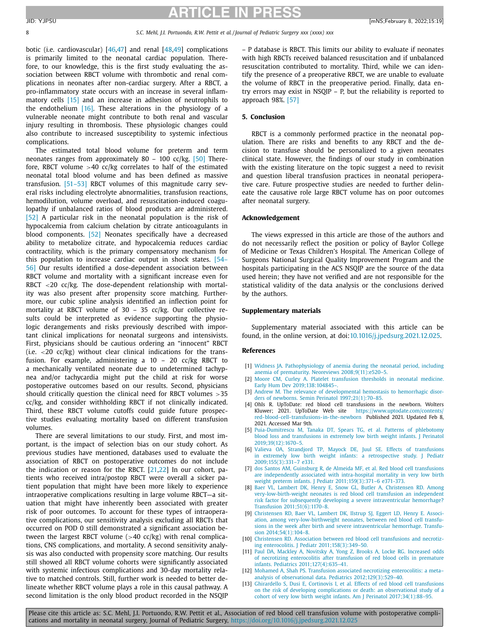<span id="page-7-0"></span>8 *S.C. Mehl, J.I. Portuondo, R.W. Pettit et al. / Journal of Pediatric Surgery xxx (xxxx) xxx*

botic (i.e. cardiovascular)  $[46,47]$  and renal  $[48,49]$  complications is primarily limited to the neonatal cardiac population. Therefore, to our knowledge, this is the first study evaluating the association between RBCT volume with thrombotic and renal complications in neonates after non-cardiac surgery. After a RBCT, a pro-inflammatory state occurs with an increase in several inflam-matory cells [\[15\]](#page-8-0) and an increase in adhesion of neutrophils to the endothelium [\[16\].](#page-8-0) These alterations in the physiology of a vulnerable neonate might contribute to both renal and vascular injury resulting in thrombosis. These physiologic changes could also contribute to increased susceptibility to systemic infectious complications.

The estimated total blood volume for preterm and term neonates ranges from approximately 80 – 100 cc/kg. [\[50\]](#page-8-0) Therefore, RBCT volume  $>40$  cc/kg correlates to half of the estimated neonatal total blood volume and has been defined as massive transfusion. [\[51–53\]](#page-8-0) RBCT volumes of this magnitude carry several risks including electrolyte abnormalities, transfusion reactions, hemodilution, volume overload, and resuscitation-induced coagulopathy if unbalanced ratios of blood products are administered. [\[52\]](#page-8-0) A particular risk in the neonatal population is the risk of hypocalcemia from calcium chelation by citrate anticoagulants in blood components. [\[52\]](#page-8-0) Neonates specifically have a decreased ability to metabolize citrate, and hypocalcemia reduces cardiac contractility, which is the primary compensatory mechanism for this population to increase cardiac output in shock states. [54– 56] Our results identified a [dose-dependent](#page-8-0) association between RBCT volume and mortality with a significant increase even for RBCT <20 cc/kg. The dose-dependent relationship with mortality was also present after propensity score matching. Furthermore, our cubic spline analysis identified an inflection point for mortality at RBCT volume of 30 – 35 cc/kg. Our collective results could be interpreted as evidence supporting the physiologic derangements and risks previously described with important clinical implications for neonatal surgeons and intensivists. First, physicians should be cautious ordering an "innocent" RBCT (i.e.  $\langle 20 \text{ cc/kg} \rangle$  without clear clinical indications for the transfusion. For example, administering a 10 – 20 cc/kg RBCT to a mechanically ventilated neonate due to undetermined tachypnea and/or tachycardia might put the child at risk for worse postoperative outcomes based on our results. Second, physicians should critically question the clinical need for RBCT volumes >35 cc/kg, and consider withholding RBCT if not clinically indicated. Third, these RBCT volume cutoffs could guide future prospective studies evaluating mortality based on different transfusion volumes.

There are several limitations to our study. First, and most important, is the impact of selection bias on our study cohort. As previous studies have mentioned, databases used to evaluate the association of RBCT on postoperative outcomes do not include the indication or reason for the RBCT. [\[21,22\]](#page-8-0) In our cohort, patients who received intra/postop RBCT were overall a sicker patient population that might have been more likely to experience intraoperative complications resulting in large volume RBCT—a situation that might have inherently been associated with greater risk of poor outcomes. To account for these types of intraoperative complications, our sensitivity analysis excluding all RBCTs that occurred on POD 0 still demonstrated a significant association between the largest RBCT volume  $(>40 \text{ cc/kg})$  with renal complications, CNS complications, and mortality. A second sensitivity analysis was also conducted with propensity score matching. Our results still showed all RBCT volume cohorts were significantly associated with systemic infectious complications and 30-day mortality relative to matched controls. Still, further work is needed to better delineate whether RBCT volume plays a role in this causal pathway. A second limitation is the only blood product recorded in the NSQIP – P database is RBCT. This limits our ability to evaluate if neonates with high RBCTs received balanced resuscitation and if unbalanced resuscitation contributed to mortality. Third, while we can identify the presence of a preoperative RBCT, we are unable to evaluate the volume of RBCT in the preoperative period. Finally, data entry errors may exist in NSQIP – P, but the reliability is reported to approach 98%. [\[57\]](#page-8-0)

#### **5. Conclusion**

RBCT is a commonly performed practice in the neonatal population. There are risks and benefits to any RBCT and the decision to transfuse should be personalized to a given neonates clinical state. However, the findings of our study in combination with the existing literature on the topic suggest a need to revisit and question liberal transfusion practices in neonatal perioperative care. Future prospective studies are needed to further delineate the causative role large RBCT volume has on poor outcomes after neonatal surgery.

#### **Acknowledgement**

The views expressed in this article are those of the authors and do not necessarily reflect the position or policy of Baylor College of Medicine or Texas Children's Hospital. The American College of Surgeons National Surgical Quality Improvement Program and the hospitals participating in the ACS NSQIP are the source of the data used herein; they have not verified and are not responsible for the statistical validity of the data analysis or the conclusions derived by the authors.

#### **Supplementary materials**

Supplementary material associated with this article can be found, in the online version, at doi[:10.1016/j.jpedsurg.2021.12.025.](https://doi.org/10.1016/j.jpedsurg.2021.12.025)

#### **References**

- [1] [Widness](http://refhub.elsevier.com/S0022-3468(22)00001-X/sbref0001) JA. Pathophysiology of anemia during the neonatal period, including anemia of prematurity. Neoreviews [2008;9\(11\):e520–5.](http://refhub.elsevier.com/S0022-3468(22)00001-X/sbref0001)
- [2] [Moore](http://refhub.elsevier.com/S0022-3468(22)00001-X/sbref0002) CM, [Curley](http://refhub.elsevier.com/S0022-3468(22)00001-X/sbref0002) A. Platelet transfusion thresholds in neonatal medicine. Early Hum Dev [2019;138:104845–.](http://refhub.elsevier.com/S0022-3468(22)00001-X/sbref0002)
- [3] [Andrew](http://refhub.elsevier.com/S0022-3468(22)00001-X/sbref0003) M. The relevance of developmental hemostasis to hemorrhagic disorders of newborns. Semin Perinatol [1997;21\(1\):70–85.](http://refhub.elsevier.com/S0022-3468(22)00001-X/sbref0003)
- [4] Ohls R. UpToDate: red blood cell transfusions in the newborn. Wolters Kluwer; 2021. UpToDate Web site https://www.uptodate.com/contents/ [red-blood-cell-transfusions-in-the-newborn](https://www.uptodate.com/contents/red-blood-cell-transfusions-in-the-newborn) Published 2021. Updated Feb 8, 2021. Accessed Mar 9th.
- [5] [Puia-Dumitrescu](http://refhub.elsevier.com/S0022-3468(22)00001-X/sbref0005) M, [Tanaka](http://refhub.elsevier.com/S0022-3468(22)00001-X/sbref0005) DT, [Spears](http://refhub.elsevier.com/S0022-3468(22)00001-X/sbref0005) TG, et [al.](http://refhub.elsevier.com/S0022-3468(22)00001-X/sbref0005) Patterns of phlebotomy blood loss and transfusions in extremely low birth weight infants. J Perinatol [2019;39\(12\):1670–5.](http://refhub.elsevier.com/S0022-3468(22)00001-X/sbref0005)
- [6] [Valieva](http://refhub.elsevier.com/S0022-3468(22)00001-X/sbref0006) OA, [Strandjord](http://refhub.elsevier.com/S0022-3468(22)00001-X/sbref0006) TP, [Mayock](http://refhub.elsevier.com/S0022-3468(22)00001-X/sbref0006) DE, [Juul](http://refhub.elsevier.com/S0022-3468(22)00001-X/sbref0006) SE. Effects of transfusions in extremely low birth weight infants: a retrospective study. J Pediatr [2009;155\(3\):331–7](http://refhub.elsevier.com/S0022-3468(22)00001-X/sbref0006) e331.
- [7] dos [Santos](http://refhub.elsevier.com/S0022-3468(22)00001-X/sbref0007) AM, [Guinsburg](http://refhub.elsevier.com/S0022-3468(22)00001-X/sbref0007) R, de [Almeida](http://refhub.elsevier.com/S0022-3468(22)00001-X/sbref0007) MF, et [al.](http://refhub.elsevier.com/S0022-3468(22)00001-X/sbref0007) Red blood cell transfusions are independently associated with intra-hospital mortality in very low birth weight preterm infants. J Pediatr [2011;159\(3\):371–6](http://refhub.elsevier.com/S0022-3468(22)00001-X/sbref0007) e371-373.
- [8] [Baer](http://refhub.elsevier.com/S0022-3468(22)00001-X/sbref0008) VL, [Lambert](http://refhub.elsevier.com/S0022-3468(22)00001-X/sbref0008) DK, [Henry](http://refhub.elsevier.com/S0022-3468(22)00001-X/sbref0008) E, [Snow](http://refhub.elsevier.com/S0022-3468(22)00001-X/sbref0008) GL, [Butler](http://refhub.elsevier.com/S0022-3468(22)00001-X/sbref0008) A, [Christensen](http://refhub.elsevier.com/S0022-3468(22)00001-X/sbref0008) RD. Among [very-low-birth-weight](http://refhub.elsevier.com/S0022-3468(22)00001-X/sbref0008) neonates is red blood cell transfusion an independent risk factor for subsequently developing a severe intraventricular hemorrhage? Transfusion 2011;51(6):1170–8.
- [9] [Christensen](http://refhub.elsevier.com/S0022-3468(22)00001-X/sbref0009) RD, [Baer](http://refhub.elsevier.com/S0022-3468(22)00001-X/sbref0009) VL, [Lambert](http://refhub.elsevier.com/S0022-3468(22)00001-X/sbref0009) DK, [Ilstrup](http://refhub.elsevier.com/S0022-3468(22)00001-X/sbref0009) SJ, [Eggert](http://refhub.elsevier.com/S0022-3468(22)00001-X/sbref0009) LD, [Henry](http://refhub.elsevier.com/S0022-3468(22)00001-X/sbref0009) E. Association, among [very-low-birthweight](http://refhub.elsevier.com/S0022-3468(22)00001-X/sbref0009) neonates, between red blood cell transfusions in the week after birth and severe intraventricular hemorrhage. Transfusion 2014;54(1):104–8.
- [10] [Christensen](http://refhub.elsevier.com/S0022-3468(22)00001-X/sbref0010) RD. Association between red blood cell transfusions and necrotizing enterocolitis. J Pediatr [2011;158\(3\):349–50.](http://refhub.elsevier.com/S0022-3468(22)00001-X/sbref0010)
- [11] [Paul](http://refhub.elsevier.com/S0022-3468(22)00001-X/sbref0011) DA, [Mackley](http://refhub.elsevier.com/S0022-3468(22)00001-X/sbref0011) A, [Novitsky](http://refhub.elsevier.com/S0022-3468(22)00001-X/sbref0011) A, [Yong](http://refhub.elsevier.com/S0022-3468(22)00001-X/sbref0011) Z, [Brooks](http://refhub.elsevier.com/S0022-3468(22)00001-X/sbref0011) A, [Locke](http://refhub.elsevier.com/S0022-3468(22)00001-X/sbref0011) RG. Increased odds of necrotizing enterocolitis after transfusion of red blood cells in premature infants. Pediatrics [2011;127\(4\):635–41.](http://refhub.elsevier.com/S0022-3468(22)00001-X/sbref0011)
- [12] [Mohamed](http://refhub.elsevier.com/S0022-3468(22)00001-X/sbref0012) A, [Shah](http://refhub.elsevier.com/S0022-3468(22)00001-X/sbref0012) PS. Transfusion associated necrotizing enterocolitis: a meta– analysis of observational data. Pediatrics [2012;129\(3\):529–40.](http://refhub.elsevier.com/S0022-3468(22)00001-X/sbref0012)
- [13] [Ghirardello](http://refhub.elsevier.com/S0022-3468(22)00001-X/sbref0013) S, [Dusi](http://refhub.elsevier.com/S0022-3468(22)00001-X/sbref0013) E, [Cortinovis](http://refhub.elsevier.com/S0022-3468(22)00001-X/sbref0013) I, et [al.](http://refhub.elsevier.com/S0022-3468(22)00001-X/sbref0013) Effects of red blood cell transfusions on the risk of developing complications or death: an observational study of a cohort of very low birth weight infants. Am J Perinatol [2017;34\(1\):88–95.](http://refhub.elsevier.com/S0022-3468(22)00001-X/sbref0013)